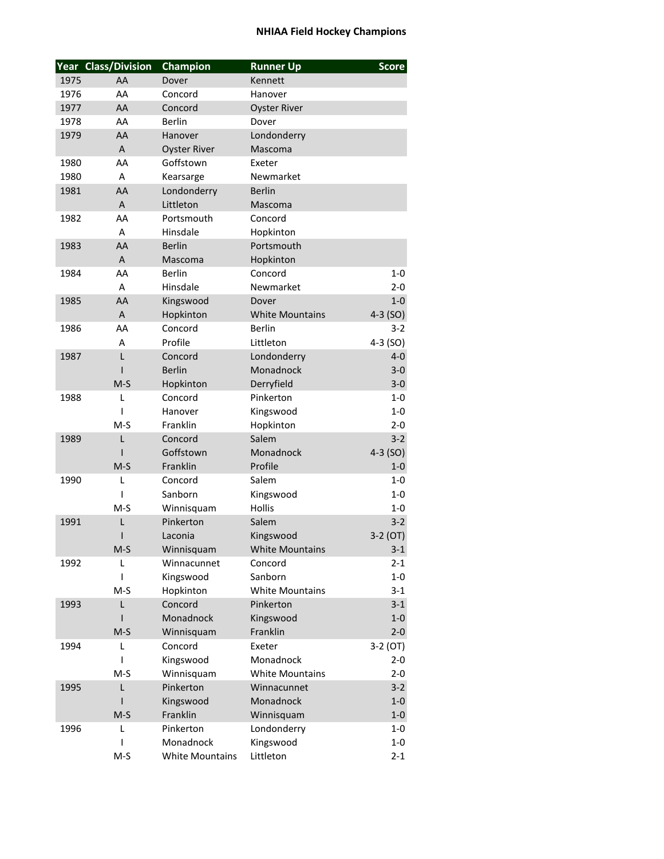## **NHIAA Field Hockey Champions**

|      | Year Class/Division | Champion               | <b>Runner Up</b>       | <b>Score</b> |
|------|---------------------|------------------------|------------------------|--------------|
| 1975 | AA                  | Dover                  | Kennett                |              |
| 1976 | AA                  | Concord                | Hanover                |              |
| 1977 | AA                  | Concord                | <b>Oyster River</b>    |              |
| 1978 | AA                  | <b>Berlin</b>          | Dover                  |              |
| 1979 | AA                  | Hanover                | Londonderry            |              |
|      | A                   | <b>Oyster River</b>    | Mascoma                |              |
| 1980 | AA                  | Goffstown              | Exeter                 |              |
| 1980 | A                   | Kearsarge              | Newmarket              |              |
| 1981 | AA                  | Londonderry            | <b>Berlin</b>          |              |
|      | $\overline{A}$      | Littleton              | Mascoma                |              |
| 1982 | AA                  | Portsmouth             | Concord                |              |
|      | A                   | Hinsdale               | Hopkinton              |              |
| 1983 | AA                  | <b>Berlin</b>          | Portsmouth             |              |
|      | $\overline{A}$      | Mascoma                | Hopkinton              |              |
| 1984 | AA                  | <b>Berlin</b>          | Concord                | $1 - 0$      |
|      | A                   | Hinsdale               | Newmarket              | $2 - 0$      |
| 1985 | AA                  | Kingswood              | Dover                  | $1-0$        |
|      | $\overline{A}$      | Hopkinton              | <b>White Mountains</b> | $4-3$ (SO)   |
| 1986 | AA                  | Concord                | <b>Berlin</b>          | $3 - 2$      |
|      | A                   | Profile                | Littleton              | $4-3$ (SO)   |
| 1987 | L                   | Concord                | Londonderry            | $4 - 0$      |
|      |                     | <b>Berlin</b>          | Monadnock              | $3 - 0$      |
|      | $M-S$               | Hopkinton              | Derryfield             | $3-0$        |
| 1988 | L                   | Concord                | Pinkerton              | 1-0          |
|      | I                   | Hanover                | Kingswood              | $1 - 0$      |
|      | $M-S$               | Franklin               | Hopkinton              | $2 - 0$      |
| 1989 | L                   | Concord                | Salem                  | $3 - 2$      |
|      | ı                   | Goffstown              | Monadnock              | $4-3$ (SO)   |
|      | $M-S$               | Franklin               | Profile                | $1-0$        |
| 1990 | L                   | Concord                | Salem                  | $1 - 0$      |
|      | I                   | Sanborn                | Kingswood              | $1 - 0$      |
|      | $M-S$               | Winnisquam             | <b>Hollis</b>          | 1-0          |
| 1991 | L                   | Pinkerton              | Salem                  | $3 - 2$      |
|      | ı                   | Laconia                | Kingswood              | $3-2$ (OT)   |
|      | $M-S$               | Winnisquam             | <b>White Mountains</b> | $3-1$        |
| 1992 | L                   | Winnacunnet            | Concord                | $2 - 1$      |
|      | I                   | Kingswood              | Sanborn                | $1-0$        |
|      | $M-S$               | Hopkinton              | <b>White Mountains</b> | $3 - 1$      |
| 1993 | L                   | Concord                | Pinkerton              | $3-1$        |
|      | ı                   | Monadnock              | Kingswood              | $1-0$        |
|      | $M-S$               | Winnisquam             | Franklin               | $2 - 0$      |
| 1994 | L                   | Concord                | Exeter                 | $3-2(0T)$    |
|      | I                   | Kingswood              | Monadnock              | $2 - 0$      |
|      | $M-S$               | Winnisquam             | <b>White Mountains</b> | $2 - 0$      |
| 1995 | L                   | Pinkerton              | Winnacunnet            | $3-2$        |
|      | ı                   | Kingswood              | Monadnock              | $1-0$        |
|      | $M-S$               | Franklin               | Winnisquam             | $1-0$        |
| 1996 | L                   | Pinkerton              | Londonderry            | $1-0$        |
|      | I                   | Monadnock              | Kingswood              | $1-0$        |
|      | $M-S$               | <b>White Mountains</b> | Littleton              | $2 - 1$      |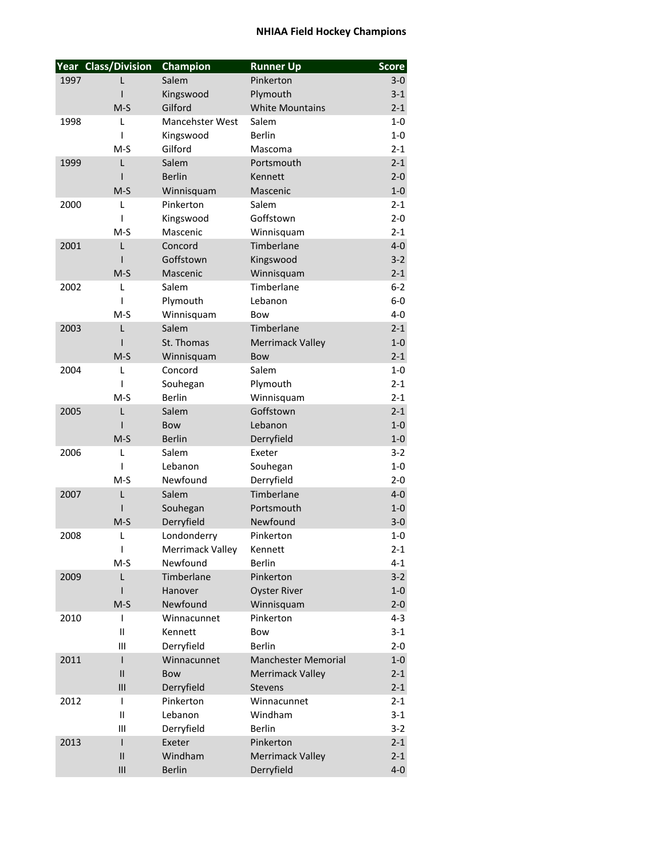## **NHIAA Field Hockey Champions**

|      | Year Class/Division | Champion                  | <b>Runner Up</b>           | <b>Score</b> |
|------|---------------------|---------------------------|----------------------------|--------------|
| 1997 |                     | Salem                     | Pinkerton                  | $3-0$        |
|      | ı                   | Kingswood                 | Plymouth                   | $3 - 1$      |
|      | $M-S$               | Gilford                   | <b>White Mountains</b>     | $2 - 1$      |
| 1998 | L                   | Mancehster West           | Salem                      | $1-0$        |
|      | I                   | Kingswood                 | <b>Berlin</b>              | $1-0$        |
|      | $M-S$               | Gilford                   | Mascoma                    | $2 - 1$      |
| 1999 | L                   | Salem                     | Portsmouth                 | $2 - 1$      |
|      | ı                   | <b>Berlin</b>             | Kennett                    | $2 - 0$      |
|      | $M-S$               | Winnisquam                | Mascenic                   | $1-0$        |
| 2000 | L                   | Pinkerton                 | Salem                      | $2 - 1$      |
|      | I                   | Kingswood                 | Goffstown                  | $2 - 0$      |
|      | $M-S$               | Mascenic                  | Winnisquam                 | $2 - 1$      |
| 2001 | L                   | Concord                   | Timberlane                 | $4-0$        |
|      | ı                   | Goffstown                 | Kingswood                  | $3 - 2$      |
|      | $M-S$               | Mascenic                  | Winnisquam                 | $2 - 1$      |
| 2002 | L                   | Salem                     | Timberlane                 | 6-2          |
|      | ı                   | Plymouth                  | Lebanon                    | $6-0$        |
|      | $M-S$               | Winnisquam                | <b>Bow</b>                 | $4-0$        |
| 2003 | L                   | Salem                     | Timberlane                 | $2 - 1$      |
|      |                     | St. Thomas                | <b>Merrimack Valley</b>    | $1-0$        |
|      | $M-S$               | Winnisquam                | <b>Bow</b>                 | $2 - 1$      |
| 2004 | L                   | Concord                   | Salem                      | $1-0$        |
|      | ı                   |                           |                            | $2 - 1$      |
|      | $M-S$               | Souhegan<br><b>Berlin</b> | Plymouth                   | $2 - 1$      |
|      |                     |                           | Winnisquam                 |              |
| 2005 | L                   | Salem                     | Goffstown                  | $2 - 1$      |
|      | ı                   | <b>Bow</b>                | Lebanon                    | $1-0$        |
|      | $M-S$               | <b>Berlin</b>             | Derryfield                 | $1-0$        |
| 2006 | L                   | Salem                     | Exeter                     | $3 - 2$      |
|      | ı                   | Lebanon                   | Souhegan                   | $1-0$        |
|      | $M-S$               | Newfound                  | Derryfield                 | $2 - 0$      |
| 2007 | L                   | Salem                     | Timberlane                 | $4 - 0$      |
|      | ı                   | Souhegan                  | Portsmouth                 | $1-0$        |
|      | $M-S$               | Derryfield                | Newfound                   | $3 - 0$      |
| 2008 | L                   | Londonderry               | Pinkerton                  | 1-0          |
|      | I                   | Merrimack Valley          | Kennett                    | $2 - 1$      |
|      | $M-S$               | Newfound                  | Berlin                     | $4 - 1$      |
| 2009 | L                   | Timberlane                | Pinkerton                  | $3-2$        |
|      | I                   | Hanover                   | <b>Oyster River</b>        | $1-0$        |
|      | $M-S$               | Newfound                  | Winnisquam                 | $2 - 0$      |
| 2010 | T                   | Winnacunnet               | Pinkerton                  | $4 - 3$      |
|      | Ш                   | Kennett                   | Bow                        | $3 - 1$      |
|      | Ш                   | Derryfield                | <b>Berlin</b>              | $2 - 0$      |
| 2011 | $\mathsf{I}$        | Winnacunnet               | <b>Manchester Memorial</b> | $1-0$        |
|      | $\sf II$            | <b>Bow</b>                | <b>Merrimack Valley</b>    | $2 - 1$      |
|      | III                 | Derryfield                | <b>Stevens</b>             | $2 - 1$      |
| 2012 | T                   | Pinkerton                 | Winnacunnet                | $2 - 1$      |
|      | Ш                   | Lebanon                   | Windham                    | $3 - 1$      |
|      | Ш                   | Derryfield                | <b>Berlin</b>              | $3 - 2$      |
| 2013 | $\mathsf{I}$        | Exeter                    | Pinkerton                  | $2 - 1$      |
|      | $\mathsf{II}$       | Windham                   | <b>Merrimack Valley</b>    | $2 - 1$      |
|      | III                 | <b>Berlin</b>             | Derryfield                 | $4-0$        |